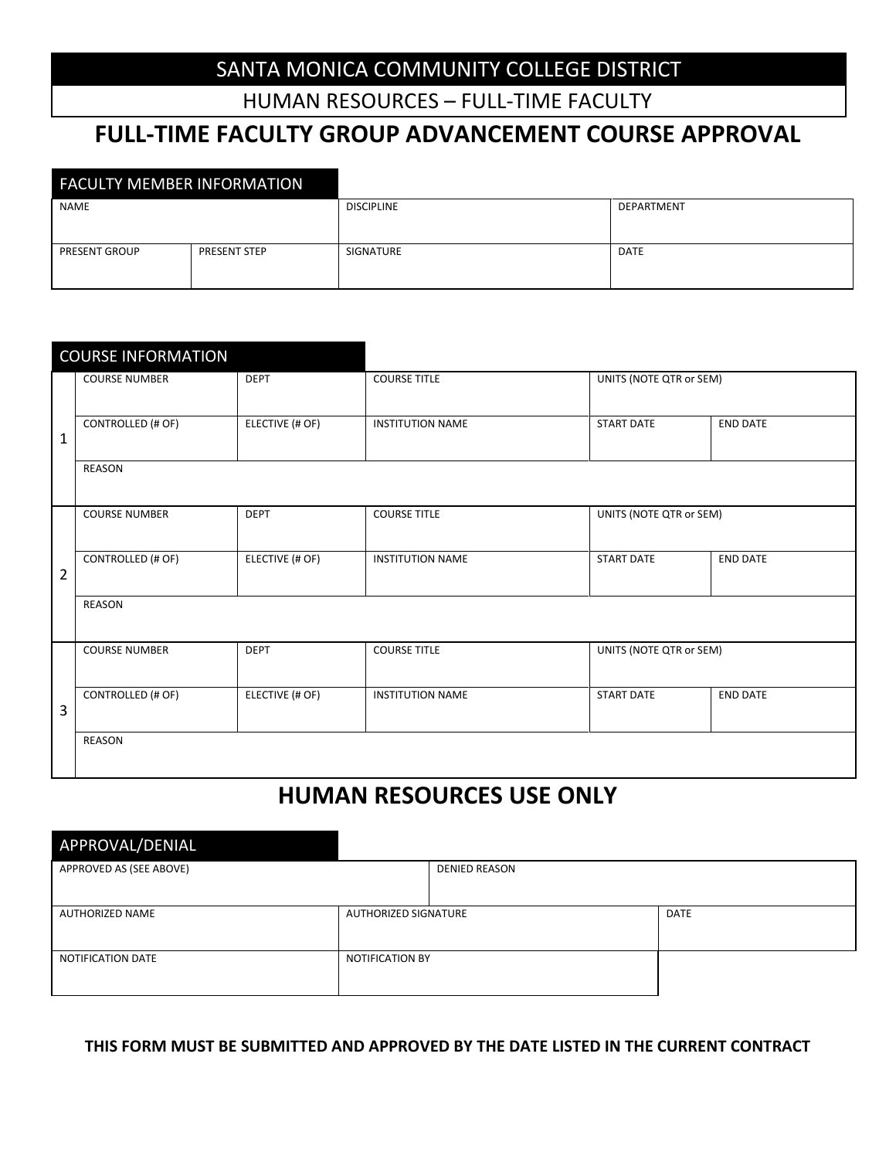## SANTA MONICA COMMUNITY COLLEGE DISTRICT

HUMAN RESOURCES – FULL-TIME FACULTY

# **FULL-TIME FACULTY GROUP ADVANCEMENT COURSE APPROVAL**

| <b>FACULTY MEMBER INFORMATION</b> |                     |                   |             |  |
|-----------------------------------|---------------------|-------------------|-------------|--|
| <b>NAME</b>                       |                     | <b>DISCIPLINE</b> | DEPARTMENT  |  |
|                                   |                     |                   |             |  |
| <b>PRESENT GROUP</b>              | <b>PRESENT STEP</b> | SIGNATURE         | <b>DATE</b> |  |
|                                   |                     |                   |             |  |

|              | <b>COURSE INFORMATION</b> |                 |                         |                         |                 |  |  |  |
|--------------|---------------------------|-----------------|-------------------------|-------------------------|-----------------|--|--|--|
|              | <b>COURSE NUMBER</b>      | <b>DEPT</b>     | <b>COURSE TITLE</b>     | UNITS (NOTE QTR or SEM) |                 |  |  |  |
| $\mathbf{1}$ | CONTROLLED (# OF)         | ELECTIVE (# OF) | <b>INSTITUTION NAME</b> | <b>START DATE</b>       | <b>END DATE</b> |  |  |  |
|              | REASON                    |                 |                         |                         |                 |  |  |  |
|              | <b>COURSE NUMBER</b>      | <b>DEPT</b>     | <b>COURSE TITLE</b>     | UNITS (NOTE QTR or SEM) |                 |  |  |  |
| 2            | CONTROLLED (# OF)         | ELECTIVE (# OF) | <b>INSTITUTION NAME</b> | <b>START DATE</b>       | <b>END DATE</b> |  |  |  |
|              | REASON                    |                 |                         |                         |                 |  |  |  |
|              | <b>COURSE NUMBER</b>      | <b>DEPT</b>     | <b>COURSE TITLE</b>     | UNITS (NOTE QTR or SEM) |                 |  |  |  |
| 3            | <b>CONTROLLED (# OF)</b>  | ELECTIVE (# OF) | <b>INSTITUTION NAME</b> | <b>START DATE</b>       | <b>END DATE</b> |  |  |  |
|              | REASON                    |                 |                         |                         |                 |  |  |  |

# **HUMAN RESOURCES USE ONLY**

| APPROVAL/DENIAL         |                        |                      |             |  |  |  |  |
|-------------------------|------------------------|----------------------|-------------|--|--|--|--|
| APPROVED AS (SEE ABOVE) |                        | <b>DENIED REASON</b> |             |  |  |  |  |
|                         |                        |                      |             |  |  |  |  |
| AUTHORIZED NAME         | AUTHORIZED SIGNATURE   |                      | <b>DATE</b> |  |  |  |  |
| NOTIFICATION DATE       | <b>NOTIFICATION BY</b> |                      |             |  |  |  |  |

### **THIS FORM MUST BE SUBMITTED AND APPROVED BY THE DATE LISTED IN THE CURRENT CONTRACT**